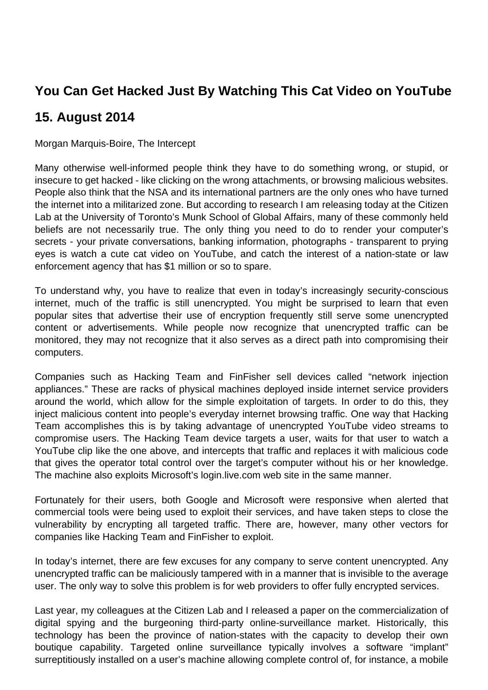## **You Can Get Hacked Just By Watching This Cat Video on YouTube**

## **15. August 2014**

Morgan Marquis-Boire, The Intercept

Many otherwise well-informed people think they have to do something wrong, or stupid, or insecure to get hacked - like clicking on the wrong attachments, or browsing malicious websites. People also think that the NSA and its international partners are the only ones who have turned the internet into a militarized zone. But according to research I am releasing today at the Citizen Lab at the University of Toronto's Munk School of Global Affairs, many of these commonly held beliefs are not necessarily true. The only thing you need to do to render your computer's secrets - your private conversations, banking information, photographs - transparent to prying eyes is watch a cute cat video on YouTube, and catch the interest of a nation-state or law enforcement agency that has \$1 million or so to spare.

To understand why, you have to realize that even in today's increasingly security-conscious internet, much of the traffic is still unencrypted. You might be surprised to learn that even popular sites that advertise their use of encryption frequently still serve some unencrypted content or advertisements. While people now recognize that unencrypted traffic can be monitored, they may not recognize that it also serves as a direct path into compromising their computers.

Companies such as Hacking Team and FinFisher sell devices called "network injection appliances." These are racks of physical machines deployed inside internet service providers around the world, which allow for the simple exploitation of targets. In order to do this, they inject malicious content into people's everyday internet browsing traffic. One way that Hacking Team accomplishes this is by taking advantage of unencrypted YouTube video streams to compromise users. The Hacking Team device targets a user, waits for that user to watch a YouTube clip like the one above, and intercepts that traffic and replaces it with malicious code that gives the operator total control over the target's computer without his or her knowledge. The machine also exploits Microsoft's login.live.com web site in the same manner.

Fortunately for their users, both Google and Microsoft were responsive when alerted that commercial tools were being used to exploit their services, and have taken steps to close the vulnerability by encrypting all targeted traffic. There are, however, many other vectors for companies like Hacking Team and FinFisher to exploit.

In today's internet, there are few excuses for any company to serve content unencrypted. Any unencrypted traffic can be maliciously tampered with in a manner that is invisible to the average user. The only way to solve this problem is for web providers to offer fully encrypted services.

Last year, my colleagues at the Citizen Lab and I released a paper on the commercialization of digital spying and the burgeoning third-party online-surveillance market. Historically, this technology has been the province of nation-states with the capacity to develop their own boutique capability. Targeted online surveillance typically involves a software "implant" surreptitiously installed on a user's machine allowing complete control of, for instance, a mobile